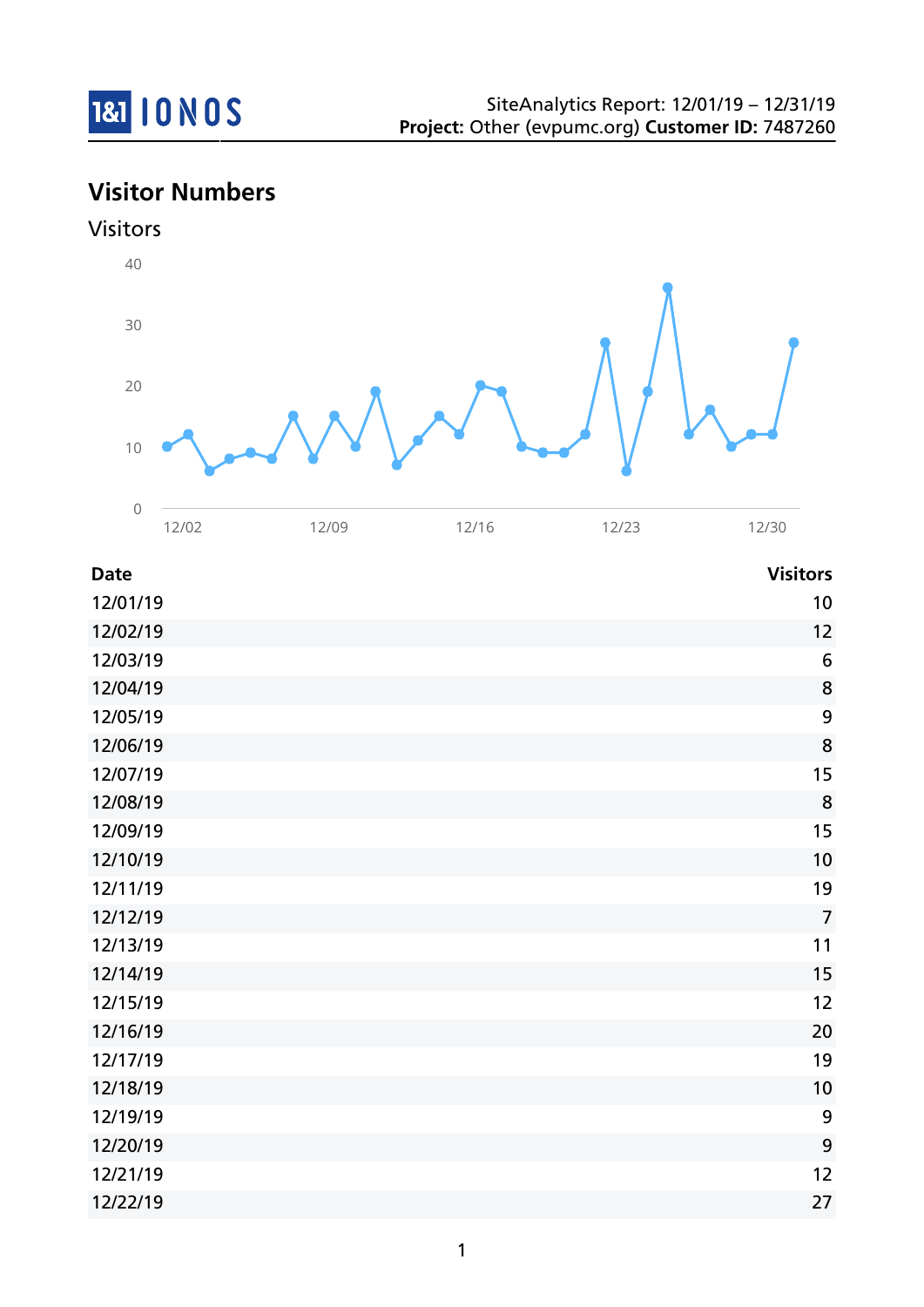

**Visitor Numbers**



| <b>Date</b> | <b>Visitors</b>  |
|-------------|------------------|
| 12/01/19    | 10               |
| 12/02/19    | 12               |
| 12/03/19    | $\boldsymbol{6}$ |
| 12/04/19    | $\bf 8$          |
| 12/05/19    | 9                |
| 12/06/19    | 8                |
| 12/07/19    | 15               |
| 12/08/19    | 8                |
| 12/09/19    | 15               |
| 12/10/19    | 10               |
| 12/11/19    | 19               |
| 12/12/19    | $\overline{7}$   |
| 12/13/19    | 11               |
| 12/14/19    | 15               |
| 12/15/19    | 12               |
| 12/16/19    | 20               |
| 12/17/19    | 19               |
| 12/18/19    | 10               |
| 12/19/19    | 9                |
| 12/20/19    | 9                |
| 12/21/19    | 12               |
| 12/22/19    | 27               |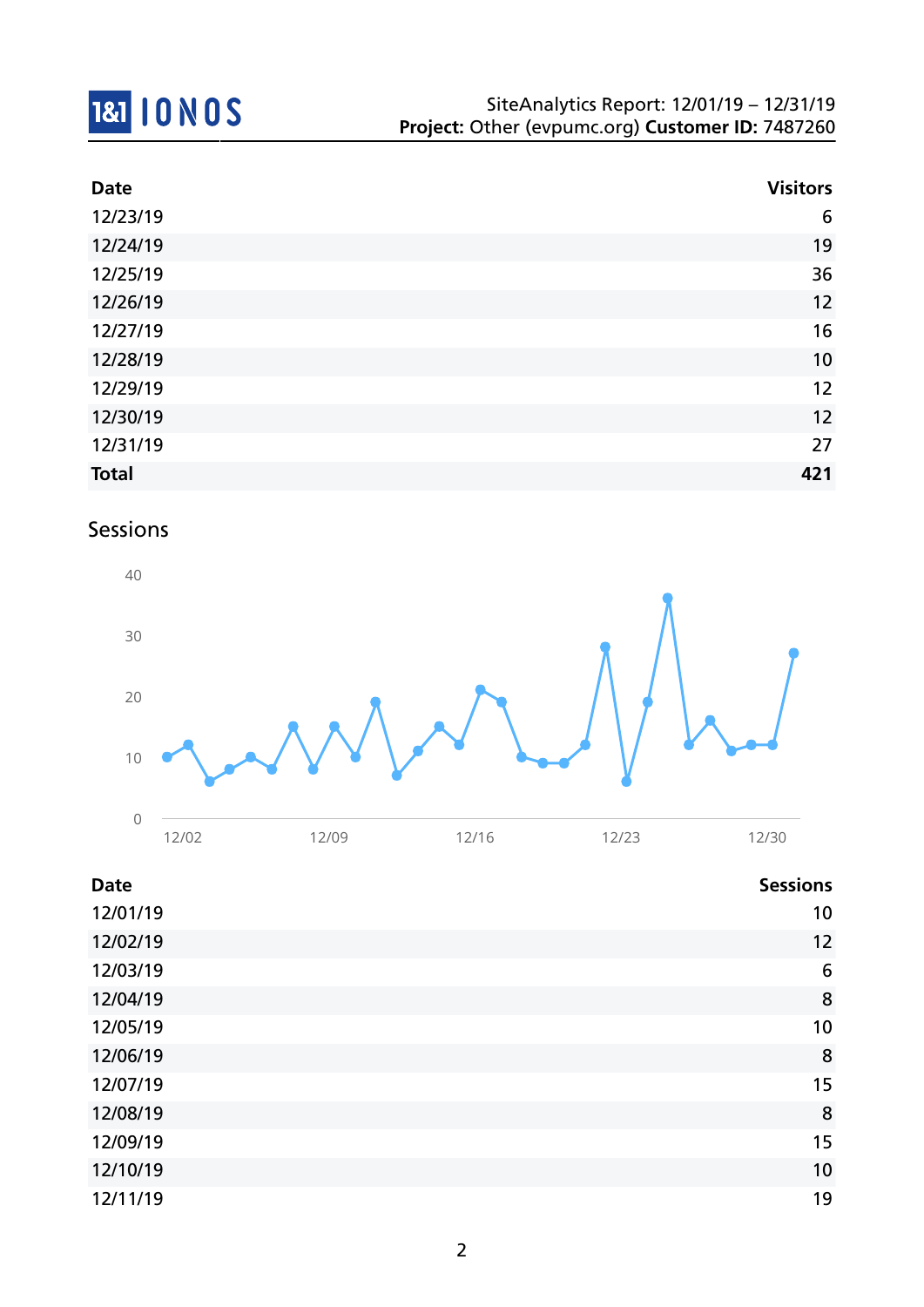

| <b>Date</b>  | <b>Visitors</b> |
|--------------|-----------------|
| 12/23/19     | 6               |
| 12/24/19     | 19              |
| 12/25/19     | 36              |
| 12/26/19     | 12              |
| 12/27/19     | 16              |
| 12/28/19     | 10              |
| 12/29/19     | 12              |
| 12/30/19     | 12              |
| 12/31/19     | 27              |
| <b>Total</b> | 421             |

### Sessions



| <b>Date</b> | <b>Sessions</b> |
|-------------|-----------------|
| 12/01/19    | 10              |
| 12/02/19    | 12              |
| 12/03/19    | 6               |
| 12/04/19    | 8               |
| 12/05/19    | 10              |
| 12/06/19    | 8               |
| 12/07/19    | 15              |
| 12/08/19    | 8               |
| 12/09/19    | 15              |
| 12/10/19    | 10              |
| 12/11/19    | 19              |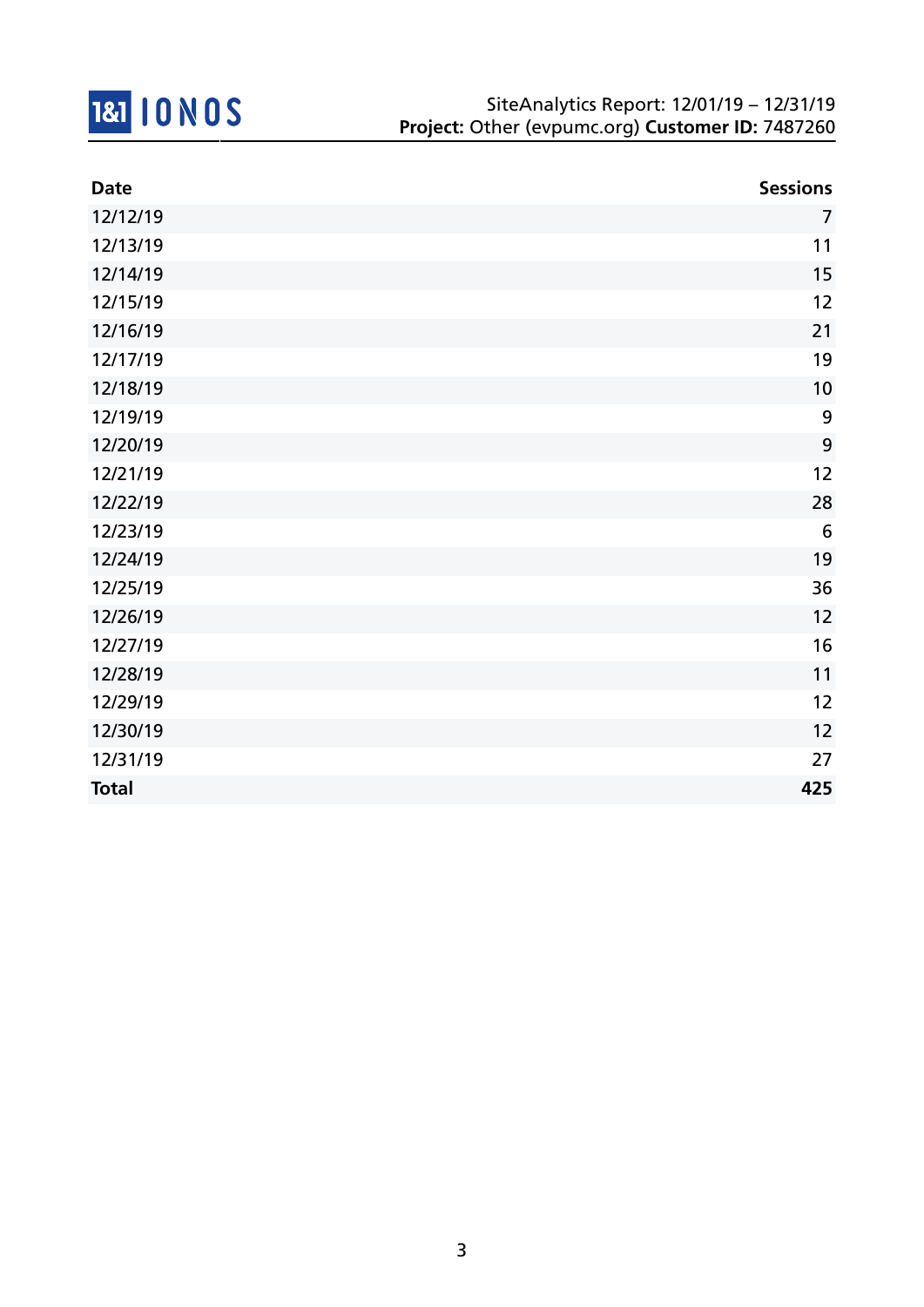

| <b>Date</b>  | <b>Sessions</b> |
|--------------|-----------------|
| 12/12/19     | $\overline{7}$  |
| 12/13/19     | 11              |
| 12/14/19     | 15              |
| 12/15/19     | 12              |
| 12/16/19     | 21              |
| 12/17/19     | 19              |
| 12/18/19     | 10              |
| 12/19/19     | 9               |
| 12/20/19     | 9               |
| 12/21/19     | 12              |
| 12/22/19     | 28              |
| 12/23/19     | $6\phantom{1}6$ |
| 12/24/19     | 19              |
| 12/25/19     | 36              |
| 12/26/19     | 12              |
| 12/27/19     | 16              |
| 12/28/19     | 11              |
| 12/29/19     | 12              |
| 12/30/19     | 12              |
| 12/31/19     | 27              |
| <b>Total</b> | 425             |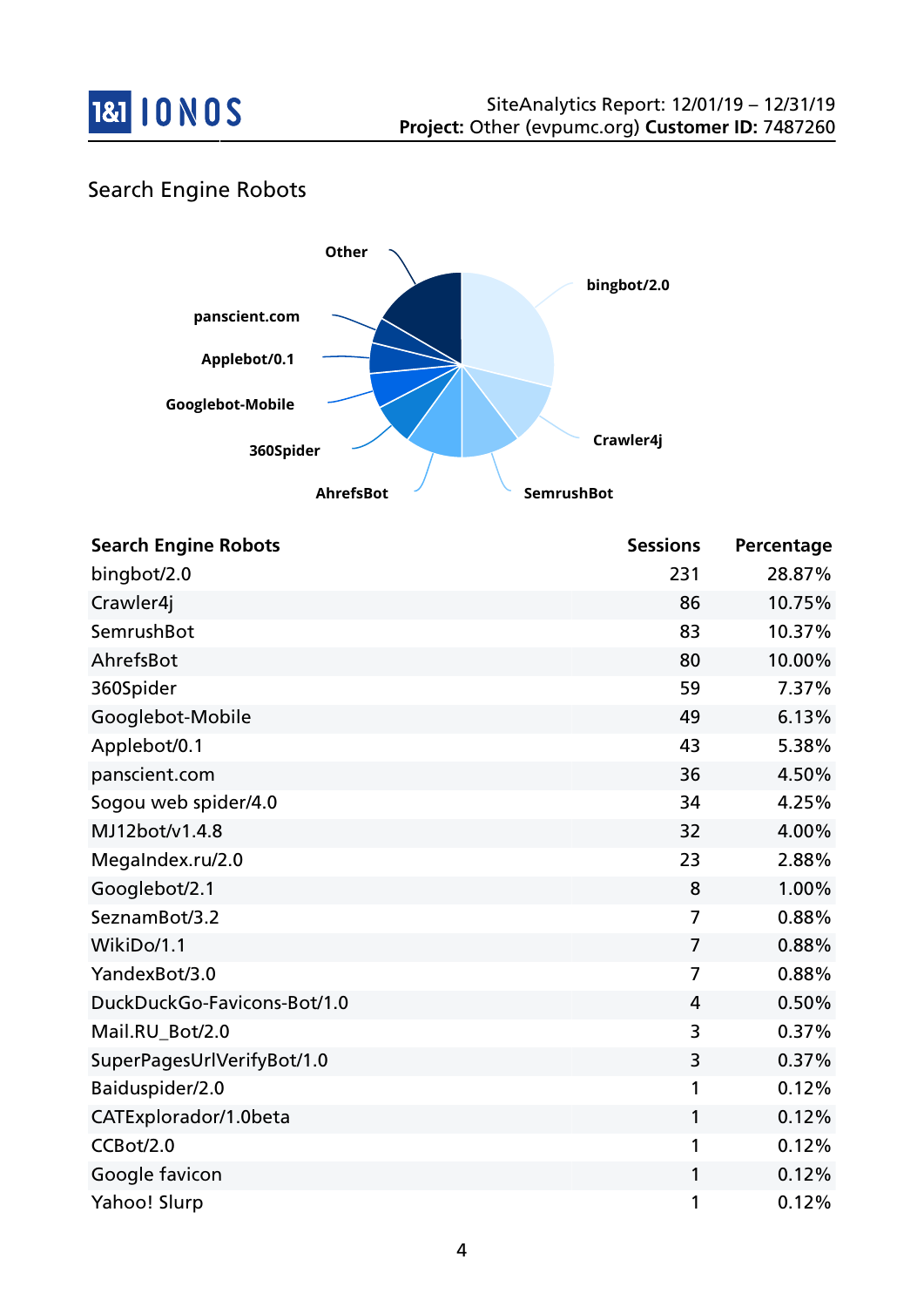

### Search Engine Robots



| <b>Search Engine Robots</b> | <b>Sessions</b> | Percentage |
|-----------------------------|-----------------|------------|
| bingbot/2.0                 | 231             | 28.87%     |
| Crawler4j                   | 86              | 10.75%     |
| SemrushBot                  | 83              | 10.37%     |
| AhrefsBot                   | 80              | 10.00%     |
| 360Spider                   | 59              | 7.37%      |
| Googlebot-Mobile            | 49              | 6.13%      |
| Applebot/0.1                | 43              | 5.38%      |
| panscient.com               | 36              | 4.50%      |
| Sogou web spider/4.0        | 34              | 4.25%      |
| MJ12bot/v1.4.8              | 32              | 4.00%      |
| MegaIndex.ru/2.0            | 23              | 2.88%      |
| Googlebot/2.1               | 8               | 1.00%      |
| SeznamBot/3.2               | 7               | 0.88%      |
| WikiDo/1.1                  | 7               | 0.88%      |
| YandexBot/3.0               | 7               | 0.88%      |
| DuckDuckGo-Favicons-Bot/1.0 | 4               | 0.50%      |
| Mail.RU_Bot/2.0             | 3               | 0.37%      |
| SuperPagesUrlVerifyBot/1.0  | 3               | 0.37%      |
| Baiduspider/2.0             | 1               | 0.12%      |
| CATExplorador/1.0beta       | 1               | 0.12%      |
| CCBot/2.0                   | 1               | 0.12%      |
| Google favicon              | 1               | 0.12%      |
| Yahoo! Slurp                | 1               | 0.12%      |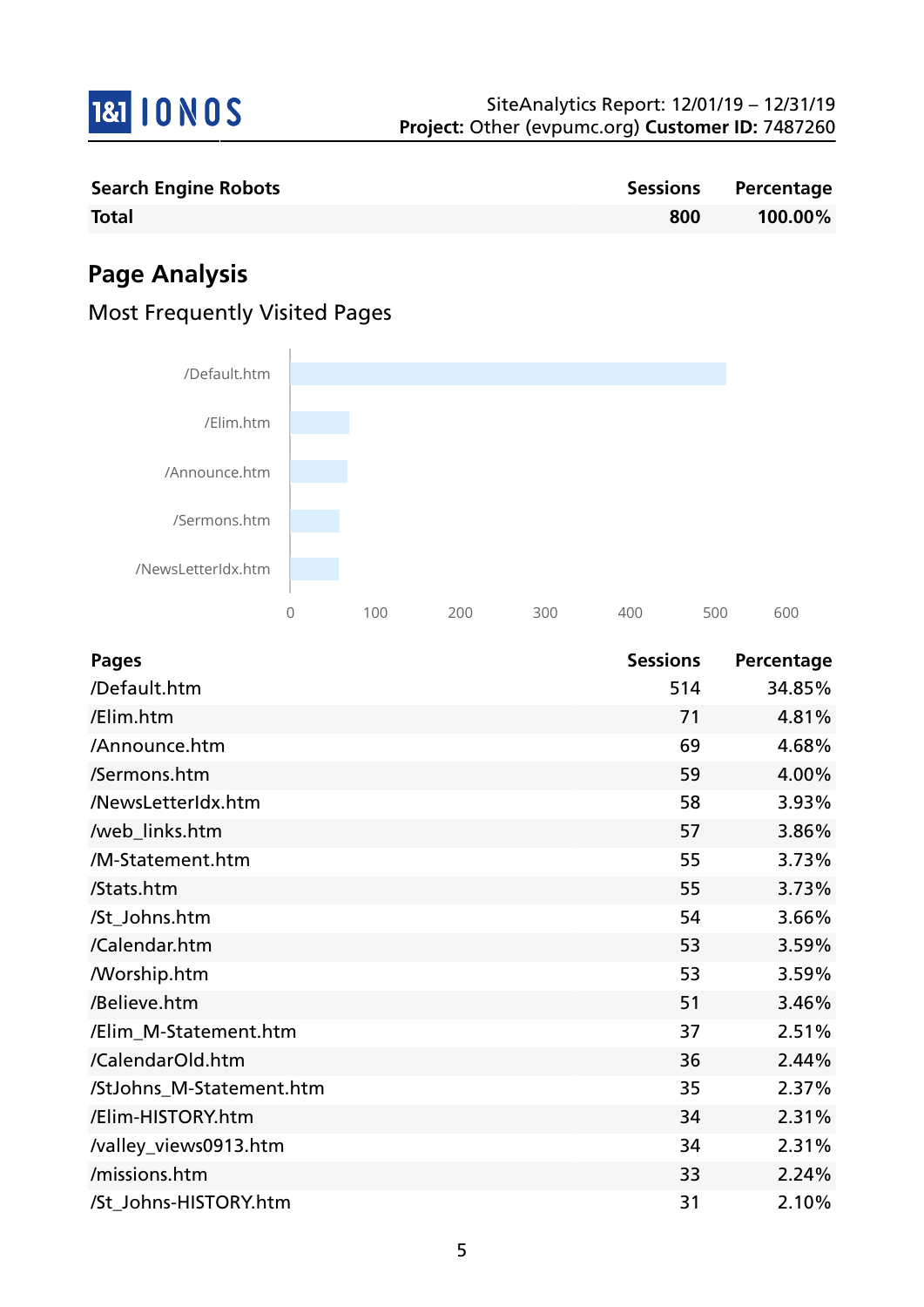

| <b>Search Engine Robots</b> |     | Sessions Percentage |
|-----------------------------|-----|---------------------|
| <b>Total</b>                | 800 | 100.00%             |

# **Page Analysis**

### Most Frequently Visited Pages



| <b>Pages</b>             | <b>Sessions</b> | Percentage |
|--------------------------|-----------------|------------|
| /Default.htm             | 514             | 34.85%     |
| /Elim.htm                | 71              | 4.81%      |
| /Announce.htm            | 69              | 4.68%      |
| /Sermons.htm             | 59              | 4.00%      |
| /NewsLetterIdx.htm       | 58              | 3.93%      |
| /web_links.htm           | 57              | 3.86%      |
| /M-Statement.htm         | 55              | 3.73%      |
| /Stats.htm               | 55              | 3.73%      |
| /St_Johns.htm            | 54              | 3.66%      |
| /Calendar.htm            | 53              | 3.59%      |
| <b>Morship.htm</b>       | 53              | 3.59%      |
| /Believe.htm             | 51              | 3.46%      |
| /Elim_M-Statement.htm    | 37              | 2.51%      |
| /CalendarOld.htm         | 36              | 2.44%      |
| /StJohns_M-Statement.htm | 35              | 2.37%      |
| /Elim-HISTORY.htm        | 34              | 2.31%      |
| /valley_views0913.htm    | 34              | 2.31%      |
| /missions.htm            | 33              | 2.24%      |
| /St_Johns-HISTORY.htm    | 31              | 2.10%      |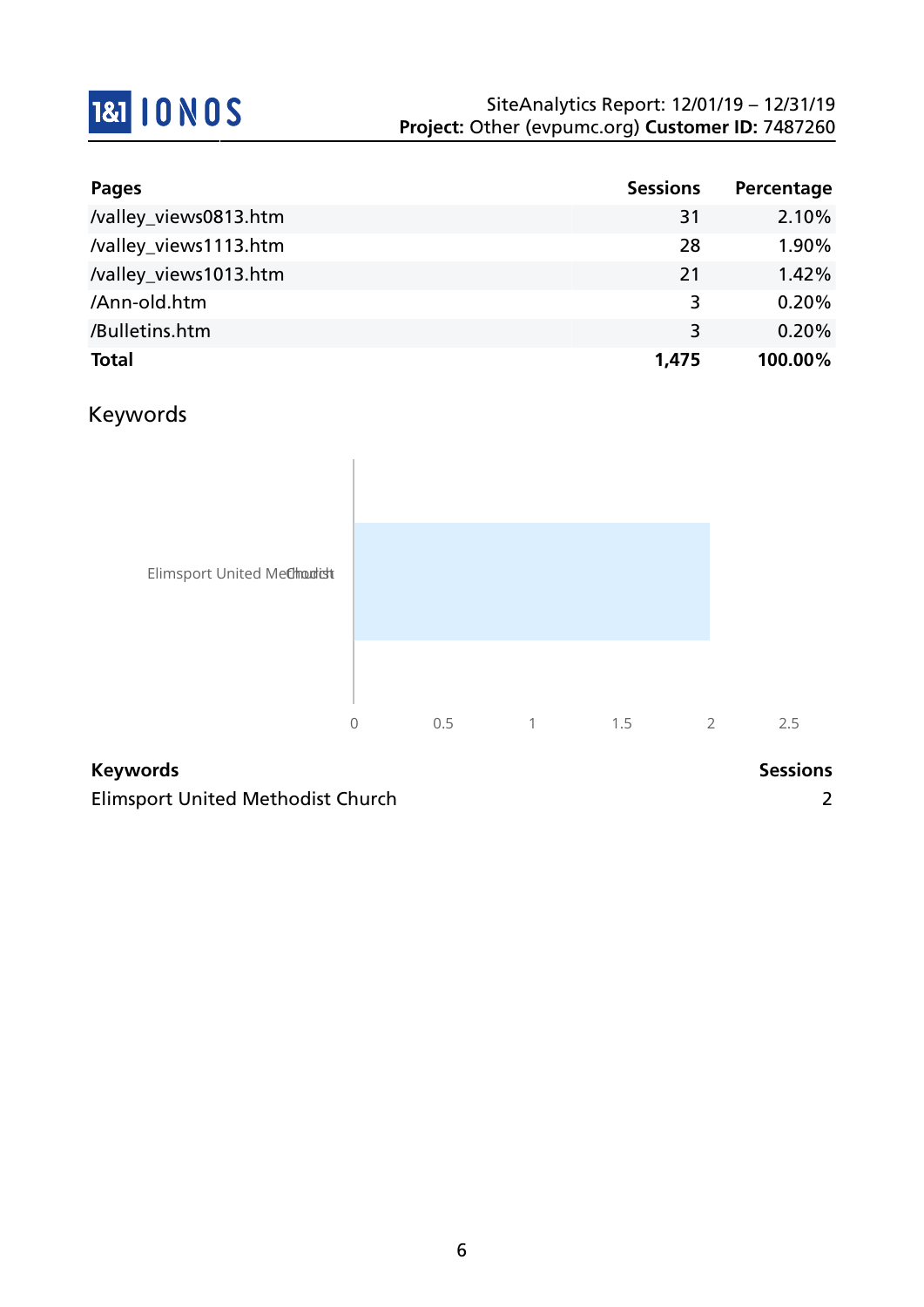

| Pages                 | <b>Sessions</b> | Percentage |
|-----------------------|-----------------|------------|
| /valley_views0813.htm | 31              | 2.10%      |
| /valley_views1113.htm | 28              | 1.90%      |
| /valley_views1013.htm | 21              | 1.42%      |
| /Ann-old.htm          | 3               | 0.20%      |
| /Bulletins.htm        | 3               | 0.20%      |
| <b>Total</b>          | 1,475           | 100.00%    |

### Keywords



#### **Keywords Sessions**

Elimsport United Methodist Church 2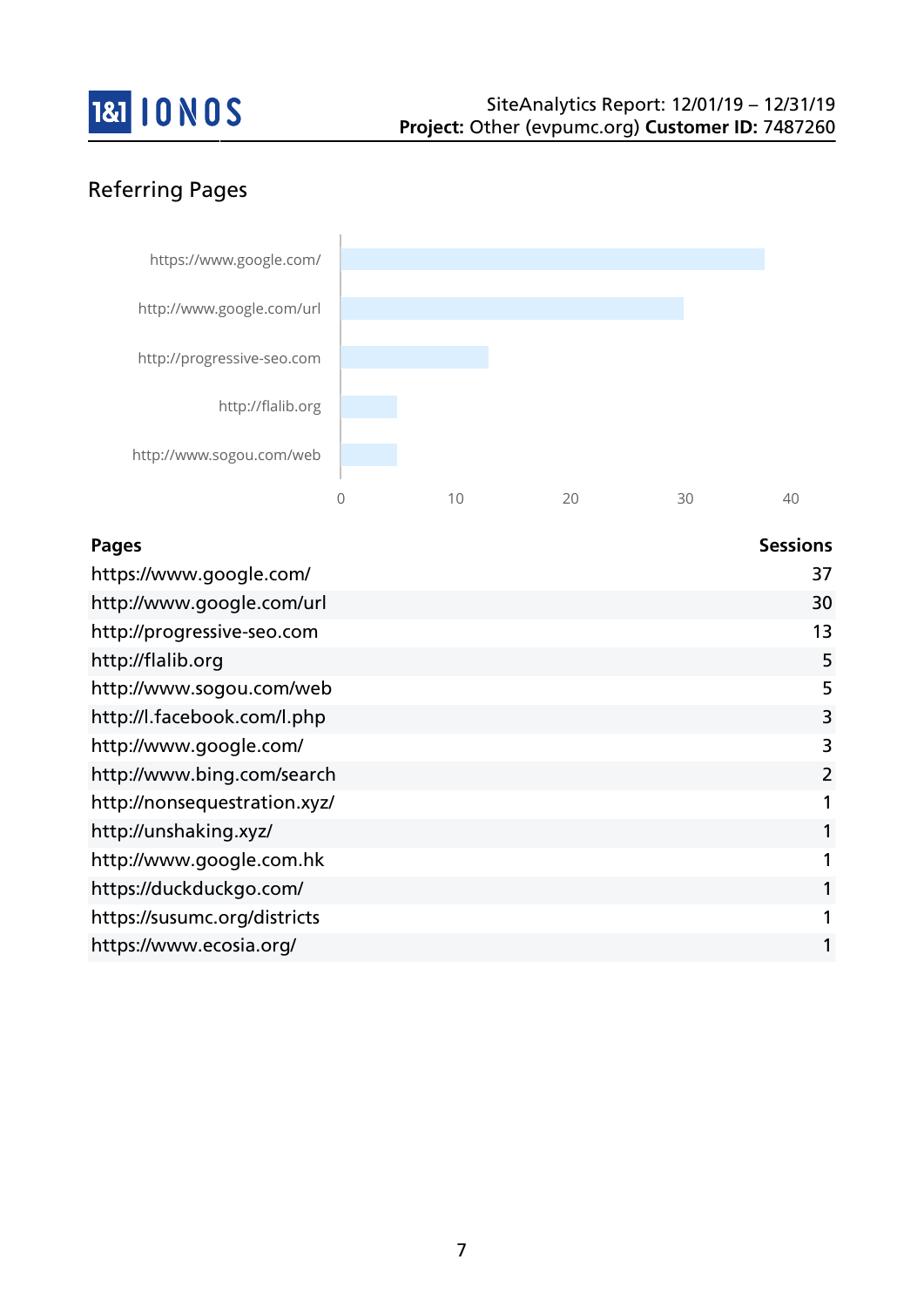

# Referring Pages



| <b>Pages</b>                 | <b>Sessions</b> |
|------------------------------|-----------------|
| https://www.google.com/      | 37              |
| http://www.google.com/url    | 30              |
| http://progressive-seo.com   | 13              |
| http://flalib.org            | 5               |
| http://www.sogou.com/web     | 5               |
| http://l.facebook.com/l.php  | 3               |
| http://www.google.com/       | 3               |
| http://www.bing.com/search   | $\overline{2}$  |
| http://nonsequestration.xyz/ |                 |
| http://unshaking.xyz/        | 1               |
| http://www.google.com.hk     |                 |
| https://duckduckgo.com/      |                 |
| https://susumc.org/districts |                 |
| https://www.ecosia.org/      |                 |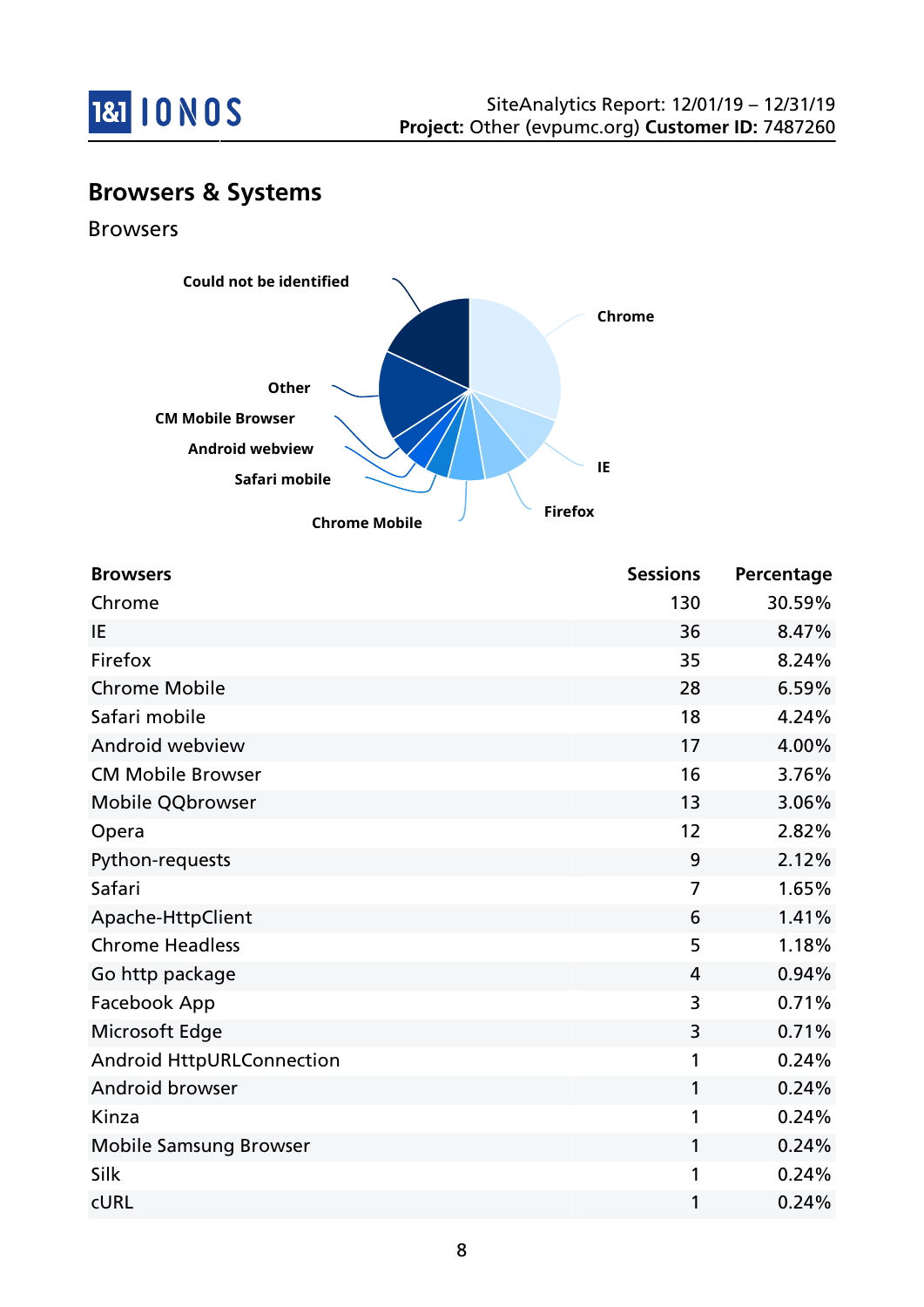

# **Browsers & Systems**

Browsers



| <b>Browsers</b>                  | <b>Sessions</b> | Percentage |
|----------------------------------|-----------------|------------|
| Chrome                           | 130             | 30.59%     |
| IE                               | 36              | 8.47%      |
| Firefox                          | 35              | 8.24%      |
| <b>Chrome Mobile</b>             | 28              | 6.59%      |
| Safari mobile                    | 18              | 4.24%      |
| Android webview                  | 17              | 4.00%      |
| <b>CM Mobile Browser</b>         | 16              | 3.76%      |
| Mobile QQbrowser                 | 13              | 3.06%      |
| Opera                            | 12              | 2.82%      |
| Python-requests                  | 9               | 2.12%      |
| Safari                           | 7               | 1.65%      |
| Apache-HttpClient                | 6               | 1.41%      |
| <b>Chrome Headless</b>           | 5               | 1.18%      |
| Go http package                  | 4               | 0.94%      |
| Facebook App                     | 3               | 0.71%      |
| Microsoft Edge                   | 3               | 0.71%      |
| <b>Android HttpURLConnection</b> | 1               | 0.24%      |
| Android browser                  | 1               | 0.24%      |
| Kinza                            | 1               | 0.24%      |
| <b>Mobile Samsung Browser</b>    | 1               | 0.24%      |
| Silk                             | 1               | 0.24%      |
| <b>CURL</b>                      | 1               | 0.24%      |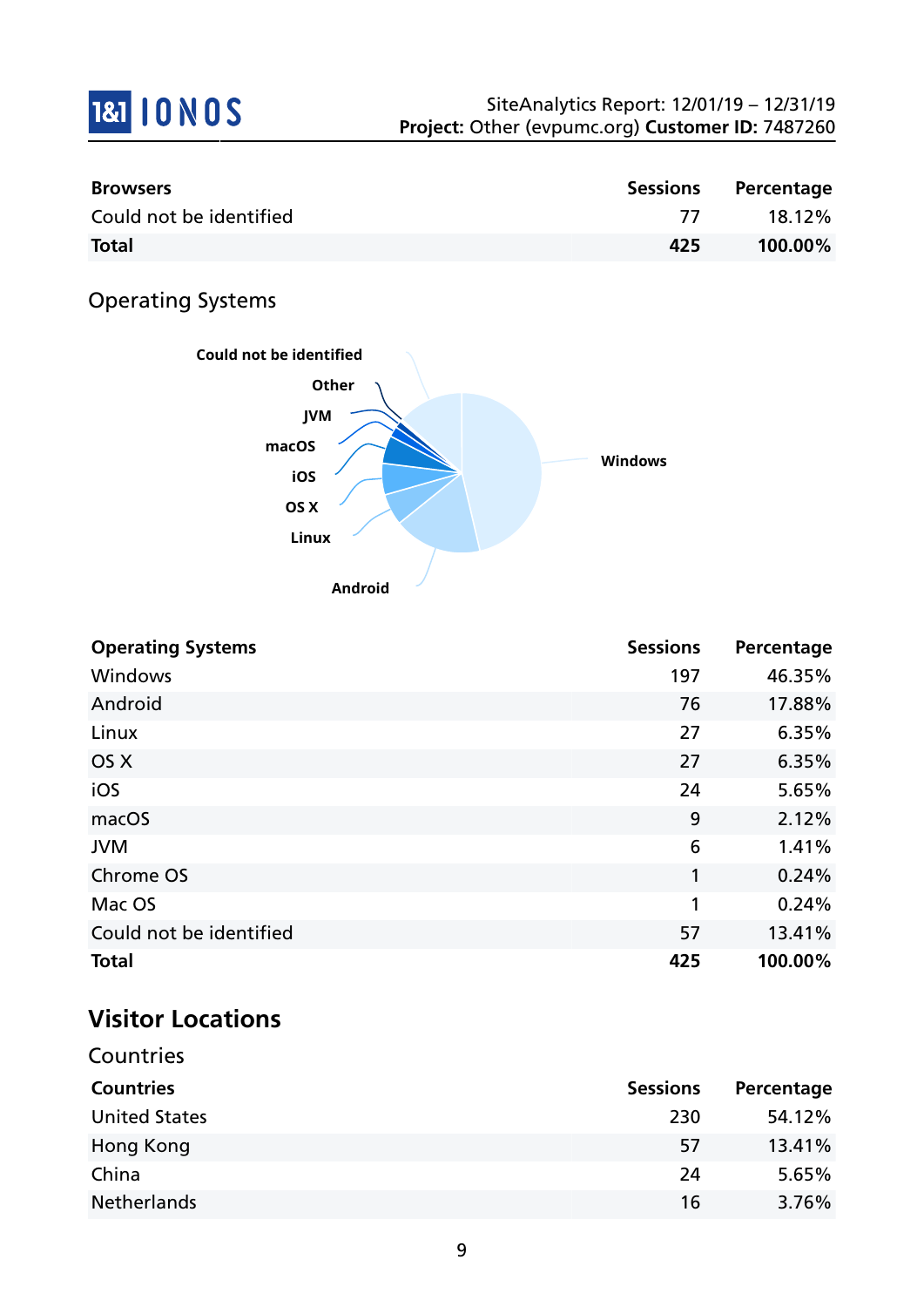

| <b>Browsers</b>         |     | Sessions Percentage |
|-------------------------|-----|---------------------|
| Could not be identified |     | 18.12%              |
| <b>Total</b>            | 425 | 100.00%             |

# Operating Systems



| <b>Operating Systems</b> | <b>Sessions</b> | Percentage |
|--------------------------|-----------------|------------|
| Windows                  | 197             | 46.35%     |
| Android                  | 76              | 17.88%     |
| Linux                    | 27              | 6.35%      |
| OS X                     | 27              | 6.35%      |
| iOS                      | 24              | 5.65%      |
| macOS                    | 9               | 2.12%      |
| <b>JVM</b>               | 6               | 1.41%      |
| Chrome OS                | 1               | 0.24%      |
| Mac OS                   | 1               | 0.24%      |
| Could not be identified  | 57              | 13.41%     |
| <b>Total</b>             | 425             | 100.00%    |

# **Visitor Locations**

| Countries            |                 |            |
|----------------------|-----------------|------------|
| <b>Countries</b>     | <b>Sessions</b> | Percentage |
| <b>United States</b> | 230             | 54.12%     |
| Hong Kong            | 57              | 13.41%     |
| China                | 24              | 5.65%      |
| <b>Netherlands</b>   | 16              | 3.76%      |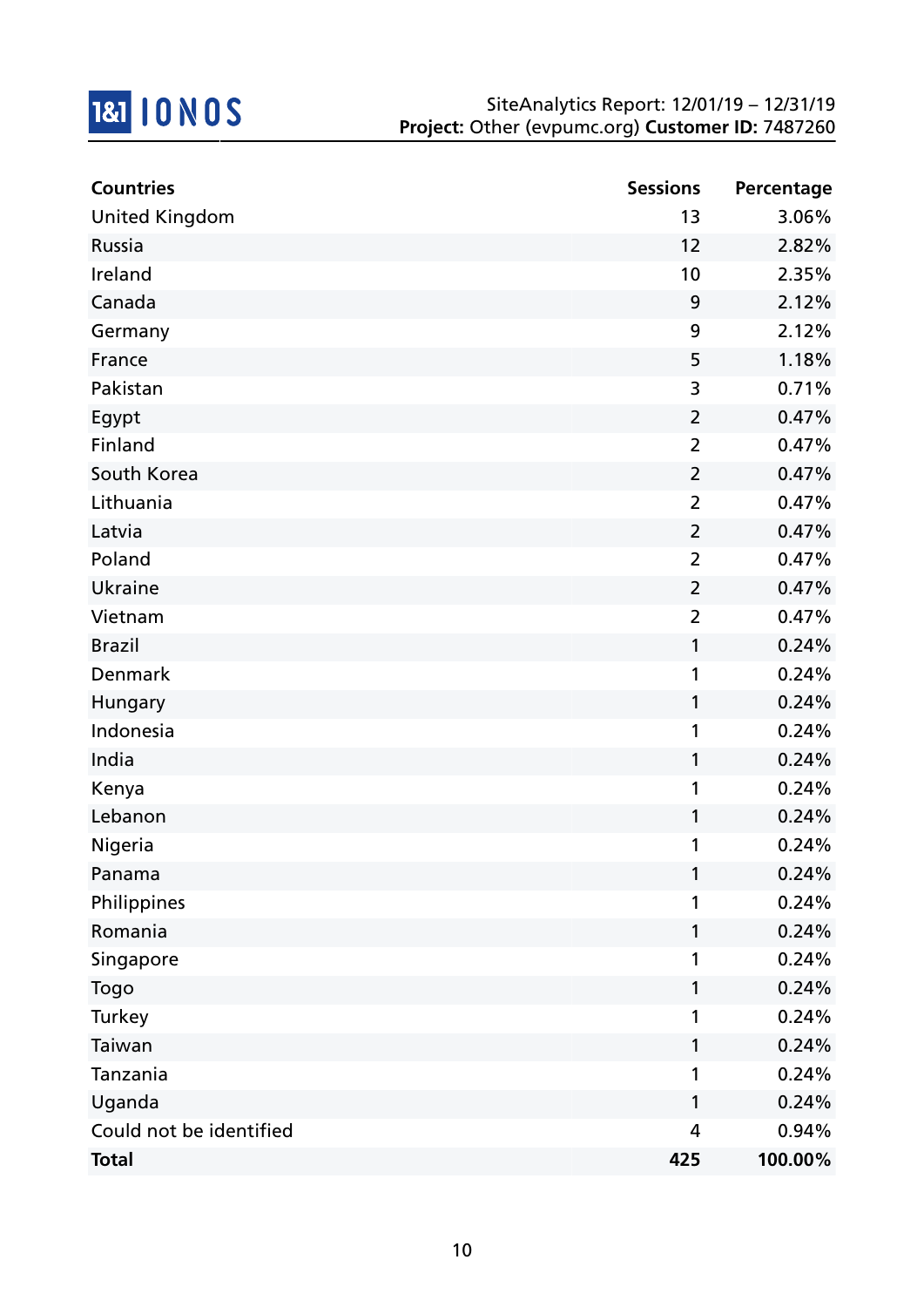

| <b>Countries</b>        | <b>Sessions</b> | Percentage |
|-------------------------|-----------------|------------|
| <b>United Kingdom</b>   | 13              | 3.06%      |
| Russia                  | 12              | 2.82%      |
| Ireland                 | 10              | 2.35%      |
| Canada                  | 9               | 2.12%      |
| Germany                 | 9               | 2.12%      |
| France                  | 5               | 1.18%      |
| Pakistan                | 3               | 0.71%      |
| Egypt                   | $\overline{2}$  | 0.47%      |
| Finland                 | $\overline{2}$  | 0.47%      |
| South Korea             | $\overline{2}$  | 0.47%      |
| Lithuania               | $\overline{2}$  | 0.47%      |
| Latvia                  | $\overline{2}$  | 0.47%      |
| Poland                  | $\overline{2}$  | 0.47%      |
| Ukraine                 | $\overline{2}$  | 0.47%      |
| Vietnam                 | $\overline{2}$  | 0.47%      |
| <b>Brazil</b>           | 1               | 0.24%      |
| Denmark                 | 1               | 0.24%      |
| Hungary                 | 1               | 0.24%      |
| Indonesia               | 1               | 0.24%      |
| India                   | 1               | 0.24%      |
| Kenya                   | 1               | 0.24%      |
| Lebanon                 | 1               | 0.24%      |
| Nigeria                 | 1               | 0.24%      |
| Panama                  | 1               | 0.24%      |
| Philippines             | 1               | 0.24%      |
| Romania                 | 1               | 0.24%      |
| Singapore               | 1               | 0.24%      |
| Togo                    | 1               | 0.24%      |
| Turkey                  | 1               | 0.24%      |
| Taiwan                  | 1               | 0.24%      |
| Tanzania                | 1               | 0.24%      |
| Uganda                  | 1               | 0.24%      |
| Could not be identified | 4               | 0.94%      |
| <b>Total</b>            | 425             | 100.00%    |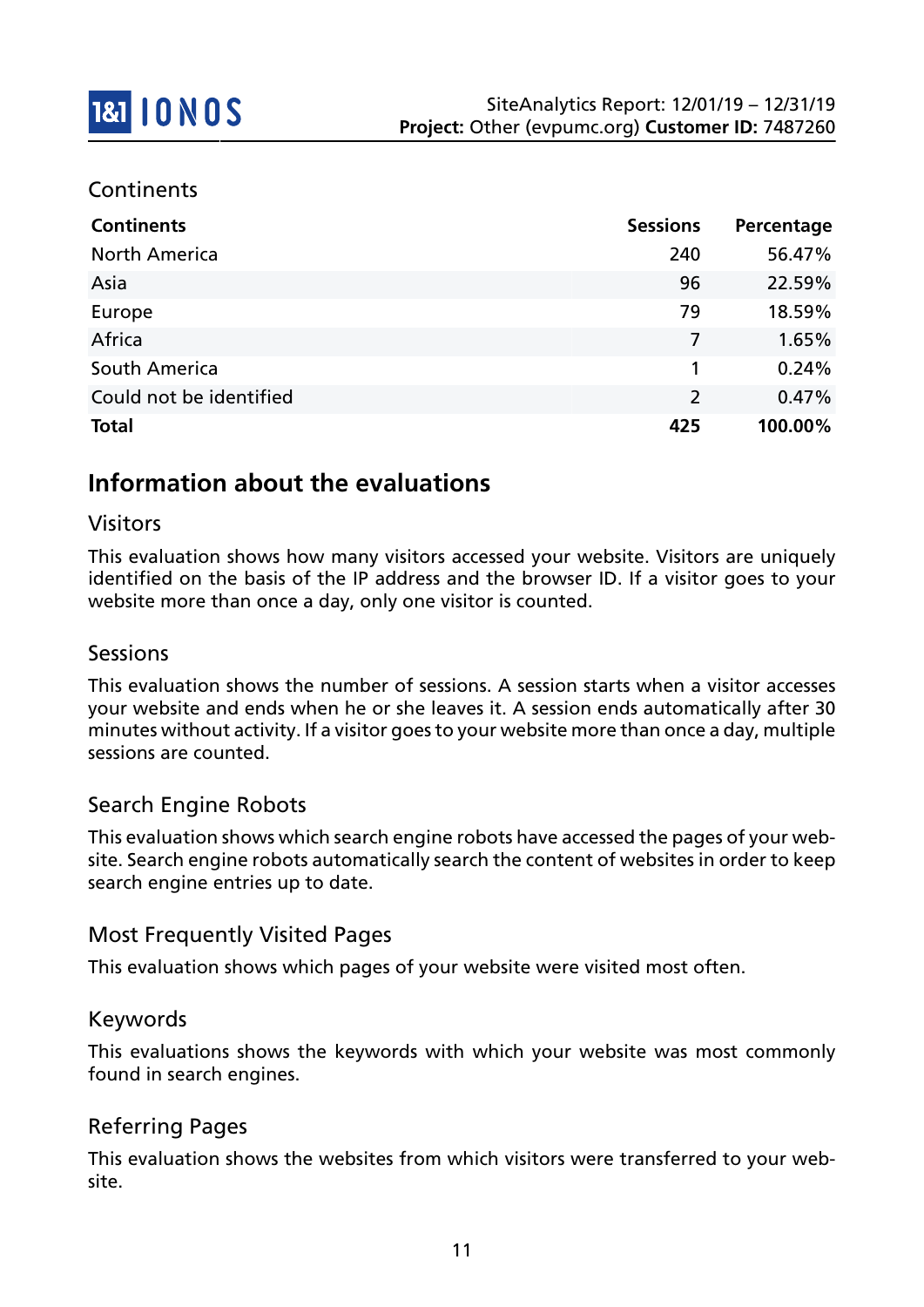### **Continents**

| <b>Continents</b>       | <b>Sessions</b> | Percentage |
|-------------------------|-----------------|------------|
| <b>North America</b>    | 240             | 56.47%     |
| Asia                    | 96              | 22.59%     |
| Europe                  | 79              | 18.59%     |
| Africa                  | 7               | 1.65%      |
| South America           | 1               | 0.24%      |
| Could not be identified | $\overline{2}$  | 0.47%      |
| <b>Total</b>            | 425             | 100.00%    |

# **Information about the evaluations**

### Visitors

This evaluation shows how many visitors accessed your website. Visitors are uniquely identified on the basis of the IP address and the browser ID. If a visitor goes to your website more than once a day, only one visitor is counted.

#### Sessions

This evaluation shows the number of sessions. A session starts when a visitor accesses your website and ends when he or she leaves it. A session ends automatically after 30 minutes without activity. If a visitor goes to your website more than once a day, multiple sessions are counted.

### Search Engine Robots

This evaluation shows which search engine robots have accessed the pages of your website. Search engine robots automatically search the content of websites in order to keep search engine entries up to date.

### Most Frequently Visited Pages

This evaluation shows which pages of your website were visited most often.

#### Keywords

This evaluations shows the keywords with which your website was most commonly found in search engines.

### Referring Pages

This evaluation shows the websites from which visitors were transferred to your website.